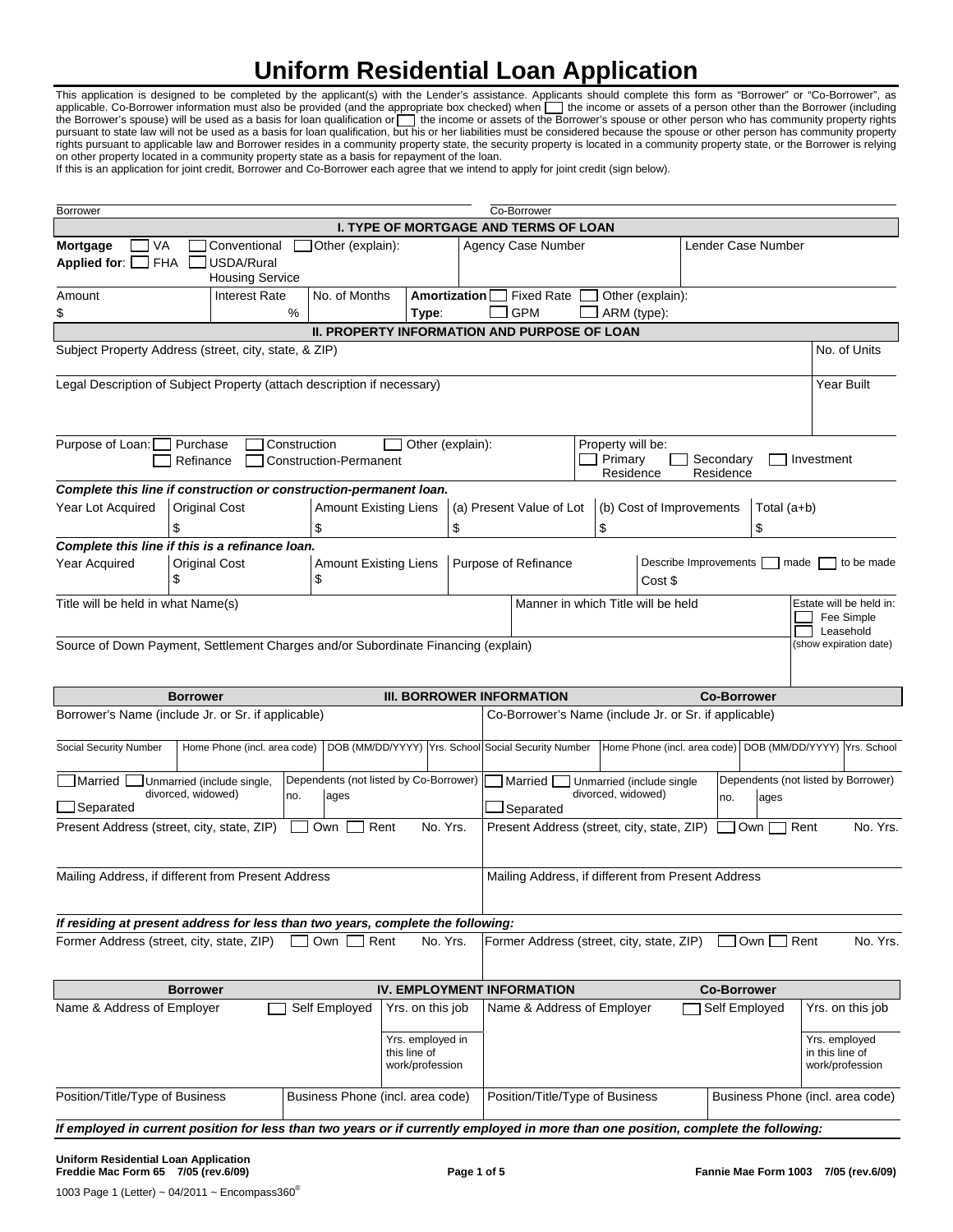## **Uniform Residential Loan Application**

This application is designed to be completed by the applicant(s) with the Lender's assistance. Applicants should complete this form as "Borrower" or "Co-Borrower", as applicable. Co-Borrower information must also be provided (and the appropriate box checked) when ██ the income or assets of a person other than the Borrower (including<br>the Borrower's spouse) will be used as a basis for lo rights pursuant to applicable law and Borrower resides in a community property state, the security property is located in a community property state, or the Borrower is relying

on other property located in a community property state as a basis for repayment of the loan.<br>If this is an application for joint credit, Borrower and Co-Borrower each agree that we intend to apply for joint credit (sign b

| <b>Borrower</b>                                                                                                                                                                                                                   | Co-Borrower                                                                          |                                               |                                                                         |                  |                                                       |                                                 |                                  |                        |                                                                         |
|-----------------------------------------------------------------------------------------------------------------------------------------------------------------------------------------------------------------------------------|--------------------------------------------------------------------------------------|-----------------------------------------------|-------------------------------------------------------------------------|------------------|-------------------------------------------------------|-------------------------------------------------|----------------------------------|------------------------|-------------------------------------------------------------------------|
|                                                                                                                                                                                                                                   |                                                                                      |                                               |                                                                         |                  | I. TYPE OF MORTGAGE AND TERMS OF LOAN                 |                                                 |                                  |                        |                                                                         |
| VA<br>Mortgage<br>∃ FHA<br>Applied for:                                                                                                                                                                                           | Conventional<br>USDA/Rural<br><b>Housing Service</b>                                 | Other (explain):                              |                                                                         |                  | <b>Agency Case Number</b>                             |                                                 |                                  | Lender Case Number     |                                                                         |
| Amount                                                                                                                                                                                                                            | <b>Interest Rate</b>                                                                 | No. of Months                                 |                                                                         | Amortization     | <b>Fixed Rate</b>                                     |                                                 | Other (explain):                 |                        |                                                                         |
| \$                                                                                                                                                                                                                                |                                                                                      | $\%$                                          | Type:                                                                   |                  | <b>GPM</b>                                            | ARM (type):                                     |                                  |                        |                                                                         |
|                                                                                                                                                                                                                                   |                                                                                      |                                               |                                                                         |                  | <b>II. PROPERTY INFORMATION AND PURPOSE OF LOAN</b>   |                                                 |                                  |                        |                                                                         |
| Subject Property Address (street, city, state, & ZIP)                                                                                                                                                                             |                                                                                      |                                               |                                                                         |                  |                                                       |                                                 |                                  |                        | No. of Units                                                            |
| Legal Description of Subject Property (attach description if necessary)                                                                                                                                                           |                                                                                      |                                               |                                                                         |                  |                                                       |                                                 |                                  |                        | Year Built                                                              |
| Purpose of Loan:                                                                                                                                                                                                                  | Purchase<br>Refinance                                                                | Construction<br><b>Construction-Permanent</b> |                                                                         | Other (explain): |                                                       | Property will be:<br>Primary<br>Residence       |                                  | Secondary<br>Residence | Investment                                                              |
| Complete this line if construction or construction-permanent loan.                                                                                                                                                                |                                                                                      |                                               |                                                                         |                  |                                                       |                                                 |                                  |                        |                                                                         |
| Year Lot Acquired<br>\$                                                                                                                                                                                                           | <b>Original Cost</b>                                                                 | \$                                            | <b>Amount Existing Liens</b>                                            | \$               | (a) Present Value of Lot                              | \$                                              | (b) Cost of Improvements         | Total $(a+b)$<br>\$    |                                                                         |
| Complete this line if this is a refinance loan.                                                                                                                                                                                   |                                                                                      |                                               |                                                                         |                  |                                                       |                                                 |                                  |                        |                                                                         |
| Year Acquired<br>\$                                                                                                                                                                                                               | <b>Original Cost</b>                                                                 | \$                                            | <b>Amount Existing Liens</b>                                            |                  | Purpose of Refinance                                  |                                                 | Describe Improvements<br>Cost \$ | made                   | □ to be made                                                            |
| Title will be held in what Name(s)                                                                                                                                                                                                |                                                                                      |                                               |                                                                         |                  |                                                       | Manner in which Title will be held              |                                  |                        | Estate will be held in:<br>Fee Simple                                   |
| Source of Down Payment, Settlement Charges and/or Subordinate Financing (explain)                                                                                                                                                 |                                                                                      |                                               |                                                                         |                  |                                                       |                                                 |                                  |                        | Leasehold<br>(show expiration date)                                     |
| <b>Borrower</b>                                                                                                                                                                                                                   |                                                                                      |                                               |                                                                         |                  | III. BORROWER INFORMATION                             |                                                 |                                  | <b>Co-Borrower</b>     |                                                                         |
| Borrower's Name (include Jr. or Sr. if applicable)                                                                                                                                                                                |                                                                                      |                                               |                                                                         |                  | Co-Borrower's Name (include Jr. or Sr. if applicable) |                                                 |                                  |                        |                                                                         |
| Social Security Number                                                                                                                                                                                                            | Home Phone (incl. area code)   DOB (MM/DD/YYYY)   Yrs. School Social Security Number |                                               |                                                                         |                  |                                                       |                                                 |                                  |                        | Home Phone (incl. area code) DOB (MM/DD/YYYY) Yrs. School               |
| Married<br>divorced, widowed)<br>$\exists$ Separated                                                                                                                                                                              | Unmarried (include single,                                                           | no.<br>ages                                   | Dependents (not listed by Co-Borrower)                                  |                  | Married<br>Separated                                  | Unmarried (include single<br>divorced, widowed) |                                  | no.<br>ages            | Dependents (not listed by Borrower)                                     |
| Present Address (street, city, state, ZIP)                                                                                                                                                                                        |                                                                                      | Own                                           | Rent                                                                    | No. Yrs.         | Present Address (street, city, state, ZIP)            |                                                 |                                  | Own [                  | No. Yrs.<br>Rent                                                        |
| Mailing Address, if different from Present Address                                                                                                                                                                                |                                                                                      |                                               |                                                                         |                  | Mailing Address, if different from Present Address    |                                                 |                                  |                        |                                                                         |
|                                                                                                                                                                                                                                   |                                                                                      |                                               |                                                                         |                  |                                                       |                                                 |                                  |                        |                                                                         |
| If residing at present address for less than two years, complete the following:<br>Former Address (street, city, state, ZIP)<br>∃ Rent<br>No. Yrs.<br>Former Address (street, city, state, ZIP)<br>No. Yrs.<br>Own<br>Own<br>Rent |                                                                                      |                                               |                                                                         |                  |                                                       |                                                 |                                  |                        |                                                                         |
| <b>Borrower</b>                                                                                                                                                                                                                   |                                                                                      |                                               |                                                                         |                  | IV. EMPLOYMENT INFORMATION                            |                                                 |                                  | <b>Co-Borrower</b>     |                                                                         |
| Name & Address of Employer                                                                                                                                                                                                        |                                                                                      | Self Employed                                 | Yrs. on this job<br>Yrs. employed in<br>this line of<br>work/profession |                  | Name & Address of Employer                            |                                                 |                                  | Self Employed          | Yrs. on this job<br>Yrs. employed<br>in this line of<br>work/profession |
| Position/Title/Type of Business                                                                                                                                                                                                   |                                                                                      |                                               | Business Phone (incl. area code)                                        |                  | Position/Title/Type of Business                       |                                                 |                                  |                        | Business Phone (incl. area code)                                        |
| If employed in current position for less than two years or if currently employed in more than one position, complete the following:                                                                                               |                                                                                      |                                               |                                                                         |                  |                                                       |                                                 |                                  |                        |                                                                         |

**Uniform Residential Loan Application**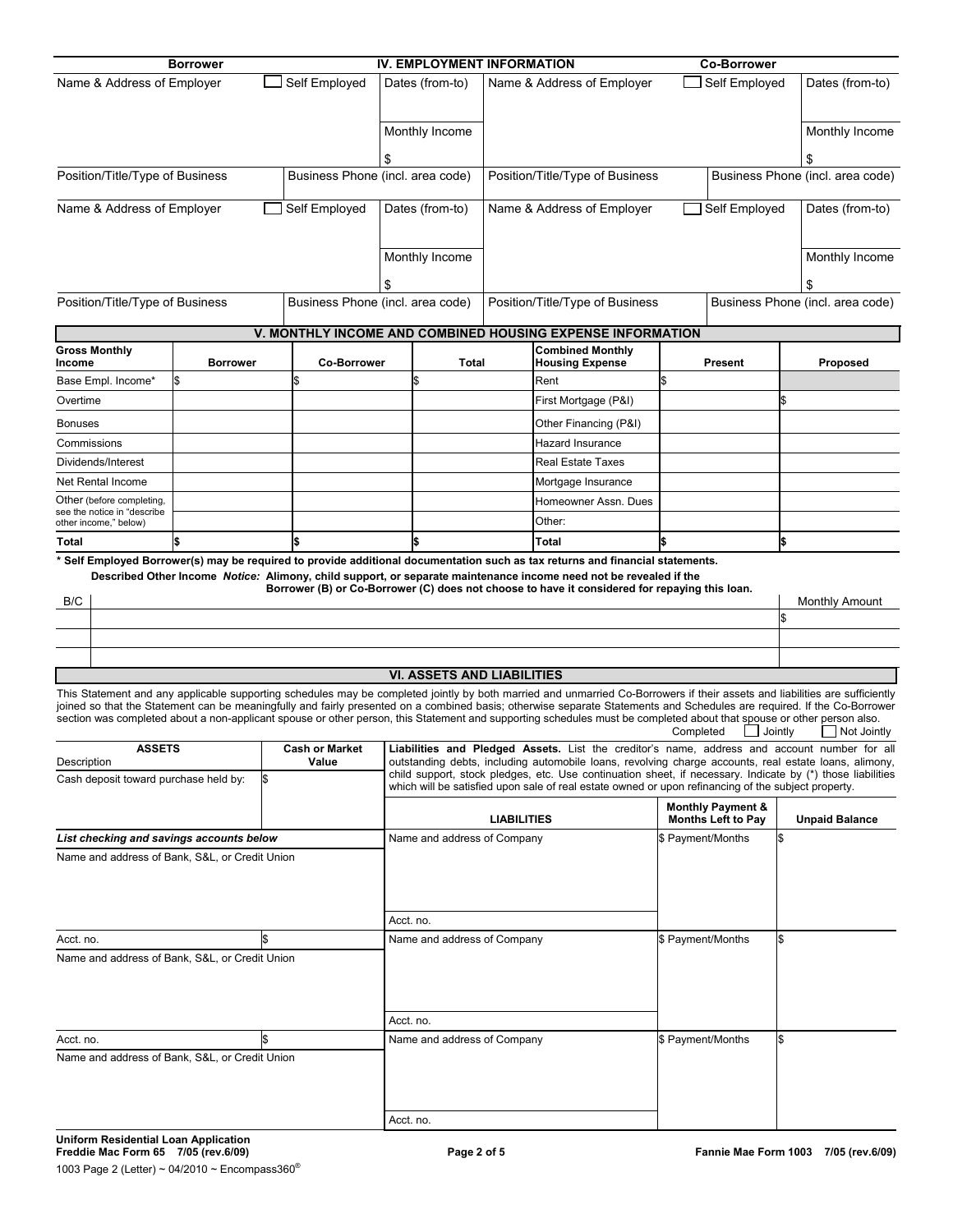| <b>Borrower</b>                                                                            |                 |                                  | <b>IV. EMPLOYMENT INFORMATION</b>                                                                                                                                                                                                                                                                                   |                                   |                    |                                                                                                                                                                                                                                                                                                                                                                                                                                                                                                                                 | <b>Co-Borrower</b> |                           |         |                                        |
|--------------------------------------------------------------------------------------------|-----------------|----------------------------------|---------------------------------------------------------------------------------------------------------------------------------------------------------------------------------------------------------------------------------------------------------------------------------------------------------------------|-----------------------------------|--------------------|---------------------------------------------------------------------------------------------------------------------------------------------------------------------------------------------------------------------------------------------------------------------------------------------------------------------------------------------------------------------------------------------------------------------------------------------------------------------------------------------------------------------------------|--------------------|---------------------------|---------|----------------------------------------|
| Name & Address of Employer                                                                 |                 | Self Employed                    |                                                                                                                                                                                                                                                                                                                     | Dates (from-to)                   |                    | Name & Address of Employer                                                                                                                                                                                                                                                                                                                                                                                                                                                                                                      |                    | Self Employed             |         | Dates (from-to)                        |
|                                                                                            |                 |                                  |                                                                                                                                                                                                                                                                                                                     | Monthly Income                    |                    |                                                                                                                                                                                                                                                                                                                                                                                                                                                                                                                                 |                    |                           |         | Monthly Income                         |
| Position/Title/Type of Business                                                            |                 | Business Phone (incl. area code) | S                                                                                                                                                                                                                                                                                                                   |                                   |                    | Position/Title/Type of Business                                                                                                                                                                                                                                                                                                                                                                                                                                                                                                 |                    |                           |         | \$<br>Business Phone (incl. area code) |
|                                                                                            |                 |                                  |                                                                                                                                                                                                                                                                                                                     |                                   |                    |                                                                                                                                                                                                                                                                                                                                                                                                                                                                                                                                 |                    |                           |         |                                        |
| Name & Address of Employer                                                                 |                 | Self Employed                    |                                                                                                                                                                                                                                                                                                                     | Dates (from-to)                   |                    | Name & Address of Employer                                                                                                                                                                                                                                                                                                                                                                                                                                                                                                      |                    | Self Employed             |         | Dates (from-to)                        |
|                                                                                            |                 |                                  | S                                                                                                                                                                                                                                                                                                                   | Monthly Income                    |                    |                                                                                                                                                                                                                                                                                                                                                                                                                                                                                                                                 |                    |                           |         | Monthly Income                         |
| Position/Title/Type of Business                                                            |                 | Business Phone (incl. area code) |                                                                                                                                                                                                                                                                                                                     |                                   |                    | Position/Title/Type of Business                                                                                                                                                                                                                                                                                                                                                                                                                                                                                                 |                    |                           |         | Business Phone (incl. area code)       |
|                                                                                            |                 |                                  |                                                                                                                                                                                                                                                                                                                     |                                   |                    | V. MONTHLY INCOME AND COMBINED HOUSING EXPENSE INFORMATION                                                                                                                                                                                                                                                                                                                                                                                                                                                                      |                    |                           |         |                                        |
| <b>Gross Monthly</b>                                                                       |                 |                                  |                                                                                                                                                                                                                                                                                                                     |                                   |                    | <b>Combined Monthly</b>                                                                                                                                                                                                                                                                                                                                                                                                                                                                                                         |                    |                           |         |                                        |
| Income                                                                                     | <b>Borrower</b> | <b>Co-Borrower</b>               |                                                                                                                                                                                                                                                                                                                     | Total                             |                    | <b>Housing Expense</b>                                                                                                                                                                                                                                                                                                                                                                                                                                                                                                          |                    | <b>Present</b>            |         | Proposed                               |
| Base Empl. Income*                                                                         | \$              |                                  |                                                                                                                                                                                                                                                                                                                     |                                   |                    | Rent                                                                                                                                                                                                                                                                                                                                                                                                                                                                                                                            | \$                 |                           |         |                                        |
| Overtime                                                                                   |                 |                                  |                                                                                                                                                                                                                                                                                                                     |                                   |                    | First Mortgage (P&I)                                                                                                                                                                                                                                                                                                                                                                                                                                                                                                            |                    |                           |         |                                        |
| <b>Bonuses</b>                                                                             |                 |                                  |                                                                                                                                                                                                                                                                                                                     |                                   |                    | Other Financing (P&I)                                                                                                                                                                                                                                                                                                                                                                                                                                                                                                           |                    |                           |         |                                        |
| Commissions                                                                                |                 |                                  |                                                                                                                                                                                                                                                                                                                     |                                   |                    | <b>Hazard Insurance</b>                                                                                                                                                                                                                                                                                                                                                                                                                                                                                                         |                    |                           |         |                                        |
| Dividends/Interest                                                                         |                 |                                  |                                                                                                                                                                                                                                                                                                                     |                                   |                    | <b>Real Estate Taxes</b>                                                                                                                                                                                                                                                                                                                                                                                                                                                                                                        |                    |                           |         |                                        |
| Net Rental Income                                                                          |                 |                                  |                                                                                                                                                                                                                                                                                                                     |                                   |                    | Mortgage Insurance                                                                                                                                                                                                                                                                                                                                                                                                                                                                                                              |                    |                           |         |                                        |
| Other (before completing,<br>see the notice in "describe                                   |                 |                                  |                                                                                                                                                                                                                                                                                                                     |                                   |                    | Homeowner Assn. Dues                                                                                                                                                                                                                                                                                                                                                                                                                                                                                                            |                    |                           |         |                                        |
| other income," below)                                                                      |                 |                                  |                                                                                                                                                                                                                                                                                                                     |                                   |                    | Other:                                                                                                                                                                                                                                                                                                                                                                                                                                                                                                                          |                    |                           |         |                                        |
| Total                                                                                      | \$              |                                  |                                                                                                                                                                                                                                                                                                                     |                                   |                    | Total                                                                                                                                                                                                                                                                                                                                                                                                                                                                                                                           |                    |                           | l\$     |                                        |
| B/C                                                                                        |                 |                                  |                                                                                                                                                                                                                                                                                                                     |                                   |                    | * Self Employed Borrower(s) may be required to provide additional documentation such as tax returns and financial statements.<br>Described Other Income Notice: Alimony, child support, or separate maintenance income need not be revealed if the<br>Borrower (B) or Co-Borrower (C) does not choose to have it considered for repaying this loan.                                                                                                                                                                             |                    |                           |         | Monthly Amount                         |
|                                                                                            |                 |                                  |                                                                                                                                                                                                                                                                                                                     |                                   |                    |                                                                                                                                                                                                                                                                                                                                                                                                                                                                                                                                 |                    |                           | \$      |                                        |
|                                                                                            |                 |                                  |                                                                                                                                                                                                                                                                                                                     |                                   |                    |                                                                                                                                                                                                                                                                                                                                                                                                                                                                                                                                 |                    |                           |         |                                        |
|                                                                                            |                 |                                  |                                                                                                                                                                                                                                                                                                                     | <b>VI. ASSETS AND LIABILITIES</b> |                    |                                                                                                                                                                                                                                                                                                                                                                                                                                                                                                                                 |                    |                           |         |                                        |
|                                                                                            |                 |                                  |                                                                                                                                                                                                                                                                                                                     |                                   |                    | This Statement and any applicable supporting schedules may be completed jointly by both married and unmarried Co-Borrowers if their assets and liabilities are sufficiently<br>joined so that the Statement can be meaningfully and fairly presented on a combined basis; otherwise separate Statements and Schedules are required. If the Co-Borrower<br>section was completed about a non-applicant spouse or other person, this Statement and supporting schedules must be completed about that spouse or other person also. | Completed          |                           | Jointly | Not Jointly                            |
| <b>ASSETS</b><br>Description<br>Cash deposit toward purchase held by:                      |                 | <b>Cash or Market</b><br>Value   | Liabilities and Pledged Assets. List the creditor's name, address and account number for all<br>outstanding debts, including automobile loans, revolving charge accounts, real estate loans, alimony,<br>child support, stock pledges, etc. Use continuation sheet, if necessary. Indicate by (*) those liabilities |                                   |                    |                                                                                                                                                                                                                                                                                                                                                                                                                                                                                                                                 |                    |                           |         |                                        |
|                                                                                            |                 |                                  |                                                                                                                                                                                                                                                                                                                     |                                   |                    | which will be satisfied upon sale of real estate owned or upon refinancing of the subject property.<br><b>Monthly Payment &amp;</b>                                                                                                                                                                                                                                                                                                                                                                                             |                    |                           |         |                                        |
|                                                                                            |                 |                                  |                                                                                                                                                                                                                                                                                                                     |                                   | <b>LIABILITIES</b> |                                                                                                                                                                                                                                                                                                                                                                                                                                                                                                                                 |                    | <b>Months Left to Pay</b> |         | <b>Unpaid Balance</b>                  |
| List checking and savings accounts below<br>Name and address of Bank, S&L, or Credit Union |                 |                                  |                                                                                                                                                                                                                                                                                                                     | Name and address of Company       |                    |                                                                                                                                                                                                                                                                                                                                                                                                                                                                                                                                 | \$ Payment/Months  |                           | \$      |                                        |
|                                                                                            |                 |                                  | Acct. no.                                                                                                                                                                                                                                                                                                           |                                   |                    |                                                                                                                                                                                                                                                                                                                                                                                                                                                                                                                                 |                    |                           |         |                                        |
| Acct. no.<br>Name and address of Bank, S&L, or Credit Union                                | \$              |                                  |                                                                                                                                                                                                                                                                                                                     | Name and address of Company       |                    |                                                                                                                                                                                                                                                                                                                                                                                                                                                                                                                                 |                    | \$ Payment/Months         | \$      |                                        |
|                                                                                            |                 |                                  | Acct. no.                                                                                                                                                                                                                                                                                                           |                                   |                    |                                                                                                                                                                                                                                                                                                                                                                                                                                                                                                                                 |                    |                           |         |                                        |
| Acct. no.                                                                                  | \$              |                                  |                                                                                                                                                                                                                                                                                                                     | Name and address of Company       |                    |                                                                                                                                                                                                                                                                                                                                                                                                                                                                                                                                 |                    | \$ Payment/Months         | \$      |                                        |
| Name and address of Bank, S&L, or Credit Union                                             |                 |                                  |                                                                                                                                                                                                                                                                                                                     |                                   |                    |                                                                                                                                                                                                                                                                                                                                                                                                                                                                                                                                 |                    |                           |         |                                        |
|                                                                                            |                 |                                  | Acct. no.                                                                                                                                                                                                                                                                                                           |                                   |                    |                                                                                                                                                                                                                                                                                                                                                                                                                                                                                                                                 |                    |                           |         |                                        |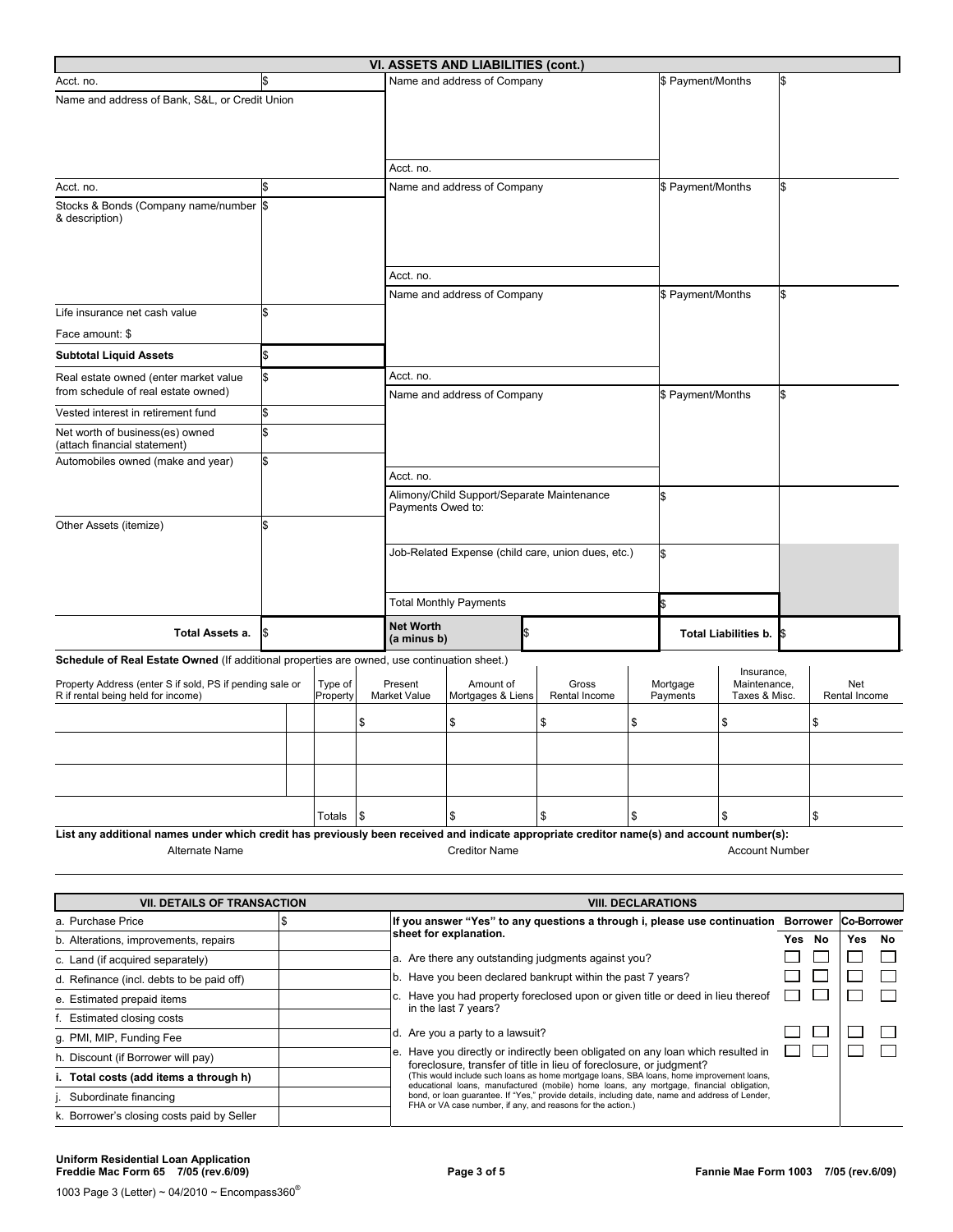|                                                                                                                                            |    |  |           |    |                                                                 | <b>VI. ASSETS AND LIABILITIES (cont.)</b> |    |               |    |                   |                            |    |               |  |  |
|--------------------------------------------------------------------------------------------------------------------------------------------|----|--|-----------|----|-----------------------------------------------------------------|-------------------------------------------|----|---------------|----|-------------------|----------------------------|----|---------------|--|--|
| Acct. no.                                                                                                                                  |    |  |           |    |                                                                 | Name and address of Company               |    |               |    | \$ Payment/Months |                            | \$ |               |  |  |
| Name and address of Bank, S&L, or Credit Union                                                                                             |    |  |           |    |                                                                 |                                           |    |               |    |                   |                            |    |               |  |  |
|                                                                                                                                            |    |  |           |    |                                                                 |                                           |    |               |    |                   |                            |    |               |  |  |
|                                                                                                                                            |    |  |           |    |                                                                 |                                           |    |               |    |                   |                            |    |               |  |  |
|                                                                                                                                            |    |  |           |    | Acct. no.                                                       |                                           |    |               |    |                   |                            |    |               |  |  |
| Acct. no.                                                                                                                                  | \$ |  |           |    |                                                                 | Name and address of Company               |    |               |    | \$ Payment/Months |                            | \$ |               |  |  |
| Stocks & Bonds (Company name/number \$                                                                                                     |    |  |           |    |                                                                 |                                           |    |               |    |                   |                            |    |               |  |  |
| & description)                                                                                                                             |    |  |           |    |                                                                 |                                           |    |               |    |                   |                            |    |               |  |  |
|                                                                                                                                            |    |  |           |    |                                                                 |                                           |    |               |    |                   |                            |    |               |  |  |
|                                                                                                                                            |    |  |           |    |                                                                 |                                           |    |               |    |                   |                            |    |               |  |  |
|                                                                                                                                            |    |  |           |    | Acct. no.                                                       |                                           |    |               |    |                   |                            |    |               |  |  |
|                                                                                                                                            |    |  |           |    |                                                                 | Name and address of Company               |    |               |    | \$ Payment/Months |                            | \$ |               |  |  |
| Life insurance net cash value                                                                                                              |    |  |           |    |                                                                 |                                           |    |               |    |                   |                            |    |               |  |  |
| Face amount: \$                                                                                                                            |    |  |           |    |                                                                 |                                           |    |               |    |                   |                            |    |               |  |  |
| <b>Subtotal Liquid Assets</b>                                                                                                              |    |  |           |    |                                                                 |                                           |    |               |    |                   |                            |    |               |  |  |
| Real estate owned (enter market value                                                                                                      |    |  |           |    | Acct. no.                                                       |                                           |    |               |    |                   |                            |    |               |  |  |
| from schedule of real estate owned)                                                                                                        |    |  |           |    |                                                                 | Name and address of Company               |    |               |    | \$ Payment/Months |                            |    | \$            |  |  |
| Vested interest in retirement fund                                                                                                         | \$ |  |           |    |                                                                 |                                           |    |               |    |                   |                            |    |               |  |  |
| Net worth of business(es) owned<br>(attach financial statement)                                                                            | \$ |  |           |    |                                                                 |                                           |    |               |    |                   |                            |    |               |  |  |
| Automobiles owned (make and year)                                                                                                          |    |  |           |    |                                                                 |                                           |    |               |    |                   |                            |    |               |  |  |
|                                                                                                                                            |    |  |           |    | Acct. no.                                                       |                                           |    |               |    |                   |                            |    |               |  |  |
|                                                                                                                                            |    |  |           |    | Alimony/Child Support/Separate Maintenance<br>Payments Owed to: |                                           |    |               |    | \$                |                            |    |               |  |  |
| Other Assets (itemize)                                                                                                                     | ፍ  |  |           |    |                                                                 |                                           |    |               |    |                   |                            |    |               |  |  |
|                                                                                                                                            |    |  |           |    |                                                                 |                                           |    |               |    |                   |                            |    |               |  |  |
|                                                                                                                                            |    |  |           |    | Job-Related Expense (child care, union dues, etc.)              |                                           |    |               |    | \$                |                            |    |               |  |  |
|                                                                                                                                            |    |  |           |    |                                                                 |                                           |    |               |    |                   |                            |    |               |  |  |
|                                                                                                                                            |    |  |           |    | <b>Total Monthly Payments</b>                                   |                                           |    |               |    |                   |                            |    |               |  |  |
|                                                                                                                                            |    |  |           |    |                                                                 |                                           |    |               |    |                   |                            |    |               |  |  |
| Total Assets a.                                                                                                                            |    |  |           |    | <b>Net Worth</b><br>(a minus b)                                 |                                           | \$ |               |    |                   | Total Liabilities b. \$    |    |               |  |  |
| Schedule of Real Estate Owned (If additional properties are owned, use continuation sheet.)                                                |    |  |           |    |                                                                 |                                           |    |               |    |                   |                            |    |               |  |  |
| Property Address (enter S if sold, PS if pending sale or                                                                                   |    |  | Type of   |    | Present                                                         | Amount of                                 |    | Gross         |    | Mortgage          | Insurance,<br>Maintenance, |    | Net           |  |  |
| R if rental being held for income)                                                                                                         |    |  | Property  |    | Market Value                                                    | Mortgages & Liens                         |    | Rental Income |    | Payments          | Taxes & Misc.              |    | Rental Income |  |  |
|                                                                                                                                            |    |  |           | \$ |                                                                 | \$                                        | \$ |               | \$ |                   | \$                         |    | \$            |  |  |
|                                                                                                                                            |    |  |           |    |                                                                 |                                           |    |               |    |                   |                            |    |               |  |  |
|                                                                                                                                            |    |  |           |    |                                                                 |                                           |    |               |    |                   |                            |    |               |  |  |
|                                                                                                                                            |    |  |           |    |                                                                 |                                           |    |               |    |                   |                            |    |               |  |  |
|                                                                                                                                            |    |  |           |    |                                                                 |                                           |    |               |    |                   |                            |    |               |  |  |
|                                                                                                                                            |    |  | Totals \$ |    |                                                                 | \$                                        | \$ |               | \$ |                   | \$                         |    | \$            |  |  |
| List any additional names under which credit has previously been received and indicate appropriate creditor name(s) and account number(s): |    |  |           |    |                                                                 |                                           |    |               |    |                   |                            |    |               |  |  |
| Alternate Name                                                                                                                             |    |  |           |    |                                                                 | <b>Creditor Name</b>                      |    |               |    |                   | <b>Account Number</b>      |    |               |  |  |
|                                                                                                                                            |    |  |           |    |                                                                 |                                           |    |               |    |                   |                            |    |               |  |  |
|                                                                                                                                            |    |  |           |    |                                                                 |                                           |    |               |    |                   |                            |    |               |  |  |

| <b>VII. DETAILS OF TRANSACTION</b>         | <b>VIII. DECLARATIONS</b>                                                                                                                                                             |     |                 |                    |     |  |
|--------------------------------------------|---------------------------------------------------------------------------------------------------------------------------------------------------------------------------------------|-----|-----------------|--------------------|-----|--|
| a. Purchase Price                          | If you answer "Yes" to any questions a through i, please use continuation                                                                                                             |     | <b>Borrower</b> | <b>Co-Borrower</b> |     |  |
| b. Alterations, improvements, repairs      | sheet for explanation.                                                                                                                                                                | Yes | No              | Yes                | No. |  |
| c. Land (if acquired separately)           | a. Are there any outstanding judgments against you?                                                                                                                                   |     |                 |                    |     |  |
| d. Refinance (incl. debts to be paid off)  | Have you been declared bankrupt within the past 7 years?<br>b.                                                                                                                        |     |                 |                    |     |  |
| e. Estimated prepaid items                 | Have you had property foreclosed upon or given title or deed in lieu thereof<br>C.<br>in the last 7 years?                                                                            |     |                 |                    |     |  |
| f. Estimated closing costs                 |                                                                                                                                                                                       |     |                 |                    |     |  |
| g. PMI, MIP, Funding Fee                   | d. Are you a party to a lawsuit?                                                                                                                                                      |     |                 |                    |     |  |
| h. Discount (if Borrower will pay)         | Have you directly or indirectly been obligated on any loan which resulted in<br>e.<br>foreclosure, transfer of title in lieu of foreclosure, or judgment?                             |     |                 |                    |     |  |
| i. Total costs (add items a through h)     | (This would include such loans as home mortgage loans, SBA loans, home improvement loans,<br>educational loans, manufactured (mobile) home loans, any mortgage, financial obligation, |     |                 |                    |     |  |
| j. Subordinate financing                   | bond, or loan quarantee. If "Yes," provide details, including date, name and address of Lender,<br>FHA or VA case number, if any, and reasons for the action.)                        |     |                 |                    |     |  |
| k. Borrower's closing costs paid by Seller |                                                                                                                                                                                       |     |                 |                    |     |  |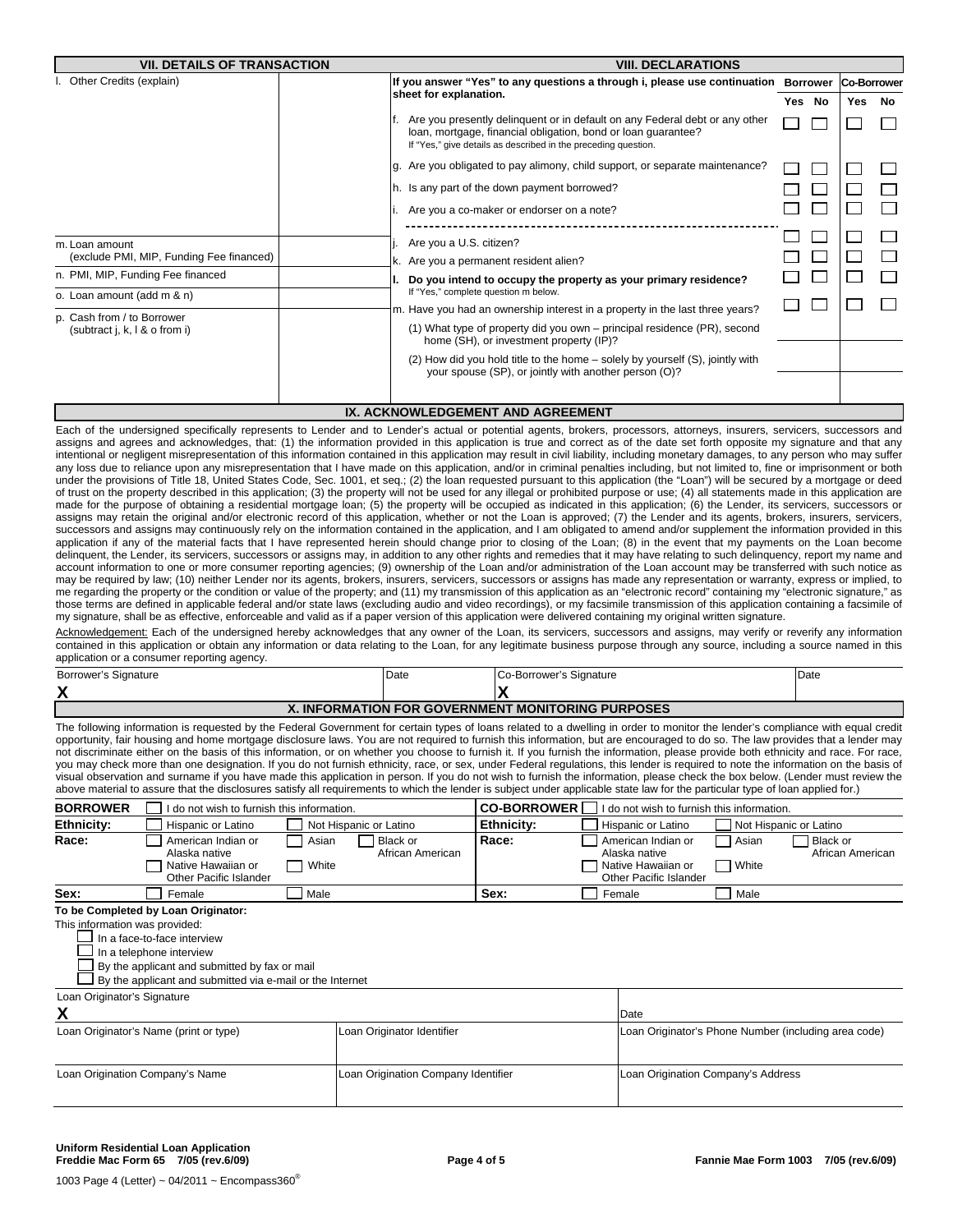| <b>VII. DETAILS OF TRANSACTION</b>       |  | <b>VIII. DECLARATIONS</b>                                                                                                                                                                                         |        |                    |    |
|------------------------------------------|--|-------------------------------------------------------------------------------------------------------------------------------------------------------------------------------------------------------------------|--------|--------------------|----|
| Other Credits (explain)                  |  | If you answer "Yes" to any questions a through i, please use continuation Borrower                                                                                                                                |        | <b>Co-Borrower</b> |    |
|                                          |  | sheet for explanation.                                                                                                                                                                                            | Yes No | Yes                | No |
|                                          |  | f. Are you presently delinguent or in default on any Federal debt or any other<br>loan, mortgage, financial obligation, bond or loan guarantee?<br>If "Yes," give details as described in the preceding question. |        |                    |    |
|                                          |  | g. Are you obligated to pay alimony, child support, or separate maintenance?                                                                                                                                      |        |                    |    |
|                                          |  | h. Is any part of the down payment borrowed?                                                                                                                                                                      |        |                    |    |
|                                          |  | Are you a co-maker or endorser on a note?                                                                                                                                                                         |        |                    |    |
| m. Loan amount                           |  | Are you a U.S. citizen?                                                                                                                                                                                           |        |                    |    |
| (exclude PMI, MIP, Funding Fee financed) |  | k. Are you a permanent resident alien?                                                                                                                                                                            |        |                    |    |
| n. PMI, MIP, Funding Fee financed        |  | I. Do you intend to occupy the property as your primary residence?                                                                                                                                                |        |                    |    |
| o. Loan amount (add m & n)               |  | If "Yes," complete question m below.                                                                                                                                                                              |        |                    |    |
| p. Cash from / to Borrower               |  | m. Have you had an ownership interest in a property in the last three years?                                                                                                                                      |        |                    |    |
| (subtract $i, k, l$ & o from $i$ )       |  | (1) What type of property did you own – principal residence (PR), second<br>home (SH), or investment property (IP)?                                                                                               |        |                    |    |
|                                          |  | (2) How did you hold title to the home – solely by yourself (S), jointly with<br>your spouse (SP), or jointly with another person (O)?                                                                            |        |                    |    |
|                                          |  |                                                                                                                                                                                                                   |        |                    |    |
|                                          |  | IX. ACKNOWLEDGEMENT AND AGREEMENT                                                                                                                                                                                 |        |                    |    |

Each of the undersigned specifically represents to Lender and to Lender's actual or potential agents, brokers, processors, attorneys, insurers, servicers, successors and assigns and agrees and acknowledges, that: (1) the information provided in this application is true and correct as of the date set forth opposite my signature and that any intentional or negligent misrepresentation of this information contained in this application may result in civil liability, including monetary damages, to any person who may suffer any loss due to reliance upon any misrepresentation that I have made on this application, and/or in criminal penalties including, but not limited to, fine or imprisonment or both under the provisions of Title 18, United States Code, Sec. 1001, et seq.; (2) the loan requested pursuant to this application (the "Loan") will be secured by a mortgage or deed of trust on the property described in this application; (3) the property will not be used for any illegal or prohibited purpose or use; (4) all statements made in this application are made for the purpose of obtaining a residential mortgage loan; (5) the property will be occupied as indicated in this application; (6) the Lender, its servicers, successors or assigns may retain the original and/or electronic record of this application, whether or not the Loan is approved; (7) the Lender and its agents, brokers, insurers, servicers, successors and assigns may continuously rely on the information contained in the application, and I am obligated to amend and/or supplement the information provided in this application if any of the material facts that I have represented herein should change prior to closing of the Loan; (8) in the event that my payments on the Loan become delinquent, the Lender, its servicers, successors or assigns may, in addition to any other rights and remedies that it may have relating to such delinquency, report my name and account information to one or more consumer reporting agencies; (9) ownership of the Loan and/or administration of the Loan account may be transferred with such notice as may be required by law; (10) neither Lender nor its agents, brokers, insurers, servicers, successors or assigns has made any representation or warranty, express or implied, to me regarding the property or the condition or value of the property; and (11) my transmission of this application as an "electronic record" containing my "electronic signature," as those terms are defined in applicable federal and/or state laws (excluding audio and video recordings), or my facsimile transmission of this application containing a facsimile of my signature, shall be as effective, enforceable and valid as if a paper version of this application were delivered containing my original written signature.

Acknowledgement: Each of the undersigned hereby acknowledges that any owner of the Loan, its servicers, successors and assigns, may verify or reverify any information contained in this application or obtain any information or data relating to the Loan, for any legitimate business purpose through any source, including a source named in this application or a consumer reporting agency.

| Borrower's Signature                                     | Date | Co-Borrower's Signature | Date |  |  |  |  |
|----------------------------------------------------------|------|-------------------------|------|--|--|--|--|
| v                                                        |      |                         |      |  |  |  |  |
| <b>X. INFORMATION FOR GOVERNMENT MONITORING PURPOSES</b> |      |                         |      |  |  |  |  |

The following information is requested by the Federal Government for certain types of loans related to a dwelling in order to monitor the lender's compliance with equal credit opportunity, fair housing and home mortgage disclosure laws. You are not required to furnish this information, but are encouraged to do so. The law provides that a lender may not discriminate either on the basis of this information, or on whether you choose to furnish it. If you furnish the information, please provide both ethnicity and race. For race, you may check more than one designation. If you do not furnish ethnicity, race, or sex, under Federal regulations, this lender is required to note the information on the basis of visual observation and surname if you have made this application in person. If you do not wish to furnish the information, please check the box below. (Lender must review the above material to assure that the disclosures satisfy all requirements to which the lender is subject under applicable state law for the particular type of loan applied for.)

| <b>BORROWER</b>                                                      | I do not wish to furnish this information.                                                                                                                            |                |                                     |            | <b>CO-BORROWER</b><br>do not wish to furnish this information. |                                                                                     |                       |                              |  |  |
|----------------------------------------------------------------------|-----------------------------------------------------------------------------------------------------------------------------------------------------------------------|----------------|-------------------------------------|------------|----------------------------------------------------------------|-------------------------------------------------------------------------------------|-----------------------|------------------------------|--|--|
| Ethnicity:                                                           | Hispanic or Latino                                                                                                                                                    |                | Not Hispanic or Latino              | Ethnicity: |                                                                | Hispanic or Latino                                                                  |                       | Not Hispanic or Latino       |  |  |
| Race:                                                                | American Indian or<br>Alaska native<br>Native Hawaiian or<br>Other Pacific Islander                                                                                   | Asian<br>White | Black or<br>African American        | Race:      |                                                                | American Indian or<br>Alaska native<br>Native Hawaiian or<br>Other Pacific Islander | Asian<br><b>White</b> | Black or<br>African American |  |  |
| Sex:                                                                 | Female                                                                                                                                                                | Male           |                                     | Sex:       |                                                                | Female                                                                              | Male                  |                              |  |  |
|                                                                      | To be Completed by Loan Originator:                                                                                                                                   |                |                                     |            |                                                                |                                                                                     |                       |                              |  |  |
| This information was provided:<br>Loan Originator's Signature        | In a face-to-face interview<br>In a telephone interview<br>By the applicant and submitted by fax or mail<br>By the applicant and submitted via e-mail or the Internet |                |                                     |            |                                                                |                                                                                     |                       |                              |  |  |
| X                                                                    |                                                                                                                                                                       |                |                                     |            |                                                                | Date                                                                                |                       |                              |  |  |
| Loan Originator Identifier<br>Loan Originator's Name (print or type) |                                                                                                                                                                       |                |                                     |            | Loan Originator's Phone Number (including area code)           |                                                                                     |                       |                              |  |  |
|                                                                      | Loan Origination Company's Name                                                                                                                                       |                | Loan Origination Company Identifier |            |                                                                | Loan Origination Company's Address                                                  |                       |                              |  |  |